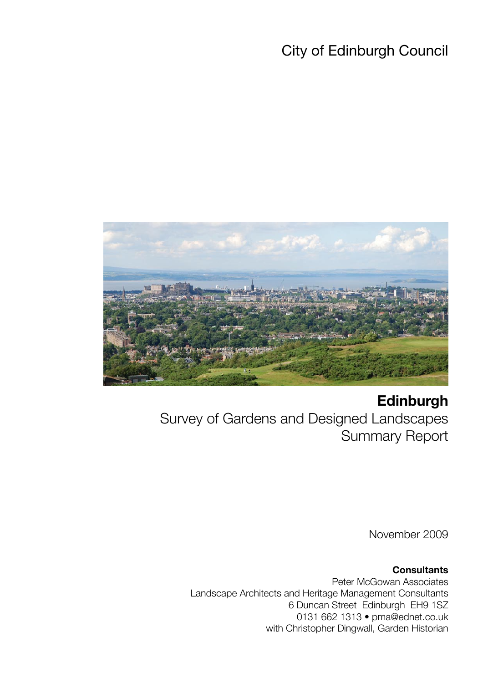# City of Edinburgh Council



**Edinburgh** Survey of Gardens and Designed Landscapes Summary Report

November 2009

#### **Consultants**

Peter McGowan Associates Landscape Architects and Heritage Management Consultants 6 Duncan Street Edinburgh EH9 1SZ 0131 662 1313 • pma@ednet.co.uk with Christopher Dingwall, Garden Historian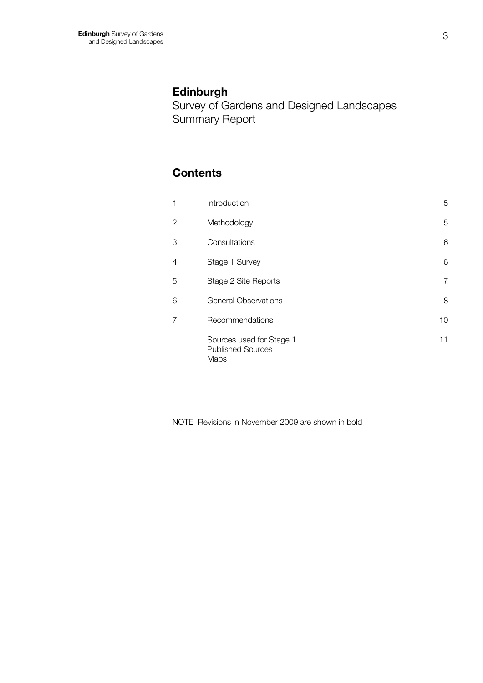## **Edinburgh**

Survey of Gardens and Designed Landscapes Summary Report

## **Contents**

| 1 | Introduction                                                        | 5  |
|---|---------------------------------------------------------------------|----|
| 2 | Methodology                                                         | 5  |
| 3 | Consultations                                                       | 6  |
| 4 | Stage 1 Survey                                                      | 6  |
| 5 | Stage 2 Site Reports                                                | 7  |
| 6 | <b>General Observations</b>                                         | 8  |
| 7 | Recommendations                                                     | 10 |
|   | Sources used for Stage 1<br><b>Published Sources</b><br><b>Maps</b> | 11 |

[NOTE Revisions in November 2009 are shown in bold](#page-10-0)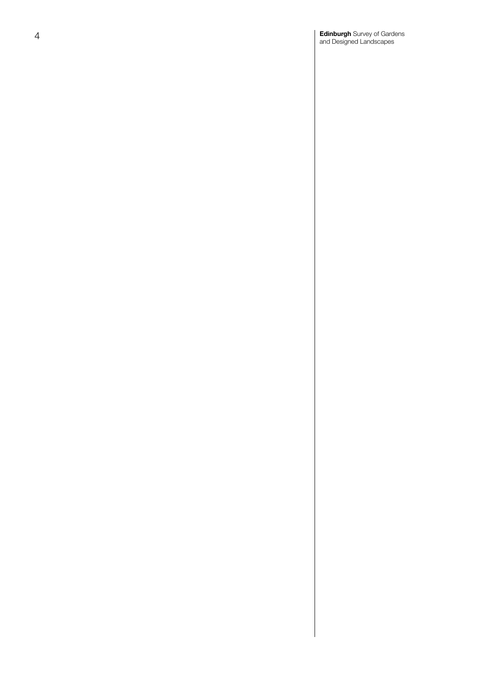**Edinburgh** Survey of Gardens and Designed Landscapes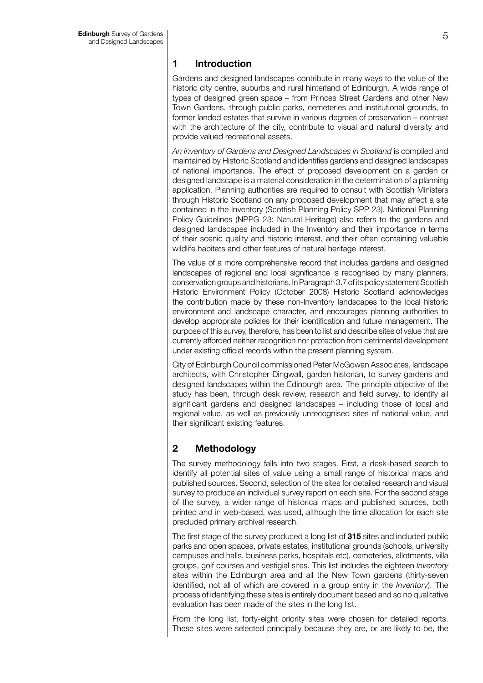### <span id="page-4-0"></span>**1 Introduction**

Gardens and designed landscapes contribute in many ways to the value of the historic city centre, suburbs and rural hinterland of Edinburgh. A wide range of types of designed green space – from Princes Street Gardens and other New Town Gardens, through public parks, cemeteries and institutional grounds, to former landed estates that survive in various degrees of preservation – contrast with the architecture of the city, contribute to visual and natural diversity and provide valued recreational assets.

*An Inventory of Gardens and Designed Landscapes in Scotland* is compiled and maintained by Historic Scotland and identifies gardens and designed landscapes of national importance. The effect of proposed development on a garden or designed landscape is a material consideration in the determination of a planning application. Planning authorities are required to consult with Scottish Ministers through Historic Scotland on any proposed development that may affect a site contained in the Inventory (Scottish Planning Policy SPP 23). National Planning Policy Guidelines (NPPG 23: Natural Heritage) also refers to the gardens and designed landscapes included in the Inventory and their importance in terms of their scenic quality and historic interest, and their often containing valuable wildlife habitats and other features of natural heritage interest.

The value of a more comprehensive record that includes gardens and designed landscapes of regional and local significance is recognised by many planners, conservation groups and historians. In Paragraph 3.7 of its policy statement Scottish Historic Environment Policy (October 2008) Historic Scotland acknowledges the contribution made by these non-Inventory landscapes to the local historic environment and landscape character, and encourages planning authorities to develop appropriate policies for their identification and future management. The purpose of this survey, therefore, has been to list and describe sites of value that are currently afforded neither recognition nor protection from detrimental development under existing official records within the present planning system.

City of Edinburgh Council commissioned Peter McGowan Associates, landscape architects, with Christopher Dingwall, garden historian, to survey gardens and designed landscapes within the Edinburgh area. The principle objective of the study has been, through desk review, research and field survey, to identify all significant gardens and designed landscapes – including those of local and regional value, as well as previously unrecognised sites of national value, and their significant existing features.

## **2 Methodology**

The survey methodology falls into two stages. First, a desk-based search to identify all potential sites of value using a small range of historical maps and published sources. Second, selection of the sites for detailed research and visual survey to produce an individual survey report on each site. For the second stage of the survey, a wider range of historical maps and published sources, both printed and in web-based, was used, although the time allocation for each site precluded primary archival research.

The first stage of the survey produced a long list of **315** sites and included public parks and open spaces, private estates, institutional grounds (schools, university campuses and halls, business parks, hospitals etc), cemeteries, allotments, villa groups, golf courses and vestigial sites. This list includes the eighteen *Inventory* sites within the Edinburgh area and all the New Town gardens (thirty-seven identified, not all of which are covered in a group entry in the *Inventory*). The process of identifying these sites is entirely document based and so no qualitative evaluation has been made of the sites in the long list.

From the long list, forty-eight priority sites were chosen for detailed reports. These sites were selected principally because they are, or are likely to be, the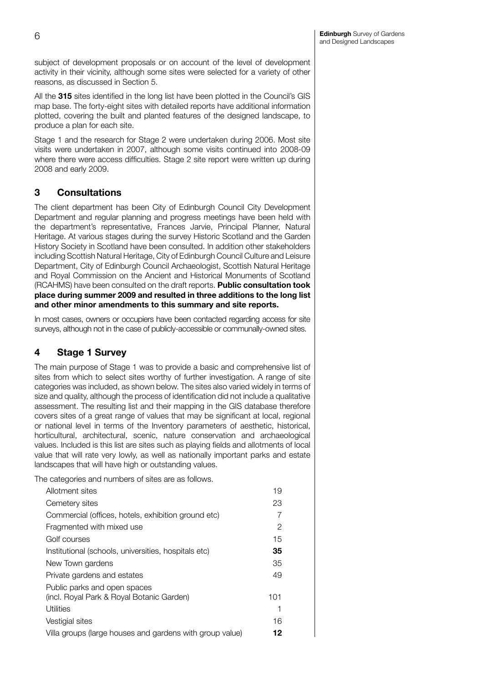<span id="page-5-0"></span>subject of development proposals or on account of the level of development activity in their vicinity, although some sites were selected for a variety of other reasons, as discussed in Section 5.

All the **315** sites identified in the long list have been plotted in the Council's GIS map base. The forty-eight sites with detailed reports have additional information plotted, covering the built and planted features of the designed landscape, to produce a plan for each site.

Stage 1 and the research for Stage 2 were undertaken during 2006. Most site visits were undertaken in 2007, although some visits continued into 2008-09 where there were access difficulties. Stage 2 site report were written up during 2008 and early 2009.

## **3 Consultations**

The client department has been City of Edinburgh Council City Development Department and regular planning and progress meetings have been held with the department's representative, Frances Jarvie, Principal Planner, Natural Heritage. At various stages during the survey Historic Scotland and the Garden History Society in Scotland have been consulted. In addition other stakeholders including Scottish Natural Heritage, City of Edinburgh Council Culture and Leisure Department, City of Edinburgh Council Archaeologist, Scottish Natural Heritage and Royal Commission on the Ancient and Historical Monuments of Scotland (RCAHMS) have been consulted on the draft reports. **Public consultation took place during summer 2009 and resulted in three additions to the long list and other minor amendments to this summary and site reports.**

In most cases, owners or occupiers have been contacted regarding access for site surveys, although not in the case of publicly-accessible or communally-owned sites.

## **4 Stage 1 Survey**

The main purpose of Stage 1 was to provide a basic and comprehensive list of sites from which to select sites worthy of further investigation. A range of site categories was included, as shown below. The sites also varied widely in terms of size and quality, although the process of identification did not include a qualitative assessment. The resulting list and their mapping in the GIS database therefore covers sites of a great range of values that may be significant at local, regional or national level in terms of the Inventory parameters of aesthetic, historical, horticultural, architectural, scenic, nature conservation and archaeological values. Included is this list are sites such as playing fields and allotments of local value that will rate very lowly, as well as nationally important parks and estate landscapes that will have high or outstanding values.

The categories and numbers of sites are as follows.

| Allotment sites                                          | 19  |
|----------------------------------------------------------|-----|
| Cemetery sites                                           | 23  |
| Commercial (offices, hotels, exhibition ground etc)      | 7   |
| Fragmented with mixed use                                | 2   |
| Golf courses                                             | 15  |
| Institutional (schools, universities, hospitals etc)     | 35  |
| New Town gardens                                         | 35  |
| Private gardens and estates                              | 49  |
| Public parks and open spaces                             |     |
| (incl. Royal Park & Royal Botanic Garden)                | 101 |
| Utilities                                                | 1   |
| Vestigial sites                                          | 16  |
| Villa groups (large houses and gardens with group value) | 12  |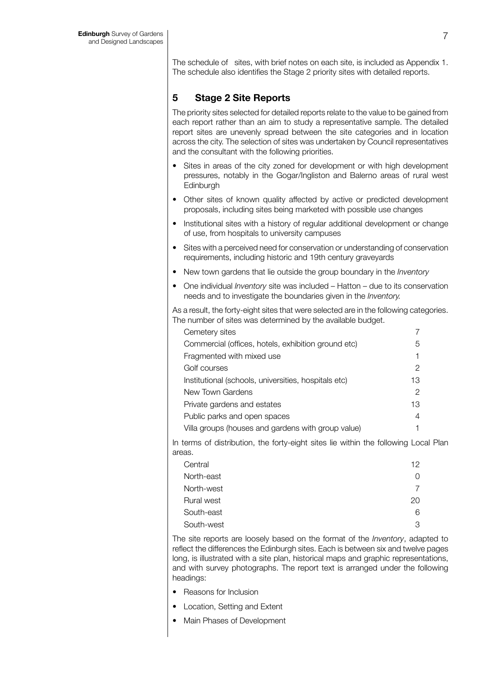The schedule of sites, with brief notes on each site, is included as Appendix 1. The schedule also identifies the Stage 2 priority sites with detailed reports.

## **5 Stage 2 Site Reports**

The priority sites selected for detailed reports relate to the value to be gained from each report rather than an aim to study a representative sample. The detailed report sites are unevenly spread between the site categories and in location across the city. The selection of sites was undertaken by Council representatives and the consultant with the following priorities.

- Sites in areas of the city zoned for development or with high development pressures, notably in the Gogar/Ingliston and Balerno areas of rural west **Edinburgh**
- Other sites of known quality affected by active or predicted development proposals, including sites being marketed with possible use changes
- Institutional sites with a history of regular additional development or change of use, from hospitals to university campuses
- Sites with a perceived need for conservation or understanding of conservation requirements, including historic and 19th century graveyards
- New town gardens that lie outside the group boundary in the *Inventory*
- One individual *Inventory* site was included Hatton due to its conservation needs and to investigate the boundaries given in the *Inventory.*

As a result, the forty-eight sites that were selected are in the following categories. The number of sites was determined by the available budget.

| Cemetery sites                                       |    |
|------------------------------------------------------|----|
| Commercial (offices, hotels, exhibition ground etc)  | 5  |
| Fragmented with mixed use                            | 1  |
| Golf courses                                         | 2  |
| Institutional (schools, universities, hospitals etc) | 13 |
| New Town Gardens                                     | 2  |
| Private gardens and estates                          | 13 |
| Public parks and open spaces                         | 4  |
| Villa groups (houses and gardens with group value)   |    |
|                                                      |    |

In terms of distribution, the forty-eight sites lie within the following Local Plan areas.

| Central    | 12               |
|------------|------------------|
| North-east | $\left( \right)$ |
| North-west |                  |
| Rural west | 20               |
| South-east | 6                |
| South-west | З                |

The site reports are loosely based on the format of the *Inventory*, adapted to reflect the differences the Edinburgh sites. Each is between six and twelve pages long, is illustrated with a site plan, historical maps and graphic representations, and with survey photographs. The report text is arranged under the following headings:

- Reasons for Inclusion
- Location, Setting and Extent
- Main Phases of Development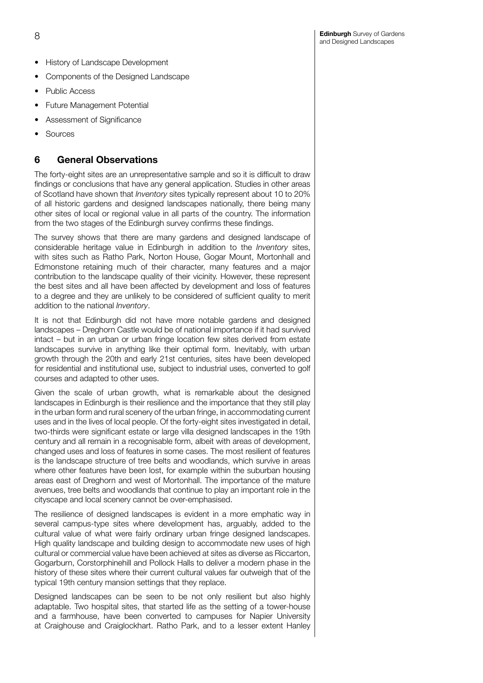- <span id="page-7-0"></span>• History of Landscape Development
- Components of the Designed Landscape
- Public Access
- Future Management Potential
- Assessment of Significance
- Sources

## **6 General Observations**

The forty-eight sites are an unrepresentative sample and so it is difficult to draw findings or conclusions that have any general application. Studies in other areas of Scotland have shown that *Inventory* sites typically represent about 10 to 20% of all historic gardens and designed landscapes nationally, there being many other sites of local or regional value in all parts of the country. The information from the two stages of the Edinburgh survey confirms these findings.

The survey shows that there are many gardens and designed landscape of considerable heritage value in Edinburgh in addition to the *Inventory* sites, with sites such as Ratho Park, Norton House, Gogar Mount, Mortonhall and Edmonstone retaining much of their character, many features and a major contribution to the landscape quality of their vicinity. However, these represent the best sites and all have been affected by development and loss of features to a degree and they are unlikely to be considered of sufficient quality to merit addition to the national *Inventory*.

It is not that Edinburgh did not have more notable gardens and designed landscapes – Dreghorn Castle would be of national importance if it had survived intact – but in an urban or urban fringe location few sites derived from estate landscapes survive in anything like their optimal form. Inevitably, with urban growth through the 20th and early 21st centuries, sites have been developed for residential and institutional use, subject to industrial uses, converted to golf courses and adapted to other uses.

Given the scale of urban growth, what is remarkable about the designed landscapes in Edinburgh is their resilience and the importance that they still play in the urban form and rural scenery of the urban fringe, in accommodating current uses and in the lives of local people. Of the forty-eight sites investigated in detail, two-thirds were significant estate or large villa designed landscapes in the 19th century and all remain in a recognisable form, albeit with areas of development, changed uses and loss of features in some cases. The most resilient of features is the landscape structure of tree belts and woodlands, which survive in areas where other features have been lost, for example within the suburban housing areas east of Dreghorn and west of Mortonhall. The importance of the mature avenues, tree belts and woodlands that continue to play an important role in the cityscape and local scenery cannot be over-emphasised.

The resilience of designed landscapes is evident in a more emphatic way in several campus-type sites where development has, arguably, added to the cultural value of what were fairly ordinary urban fringe designed landscapes. High quality landscape and building design to accommodate new uses of high cultural or commercial value have been achieved at sites as diverse as Riccarton, Gogarburn, Corstorphinehill and Pollock Halls to deliver a modern phase in the history of these sites where their current cultural values far outweigh that of the typical 19th century mansion settings that they replace.

Designed landscapes can be seen to be not only resilient but also highly adaptable. Two hospital sites, that started life as the setting of a tower-house and a farmhouse, have been converted to campuses for Napier University at Craighouse and Craiglockhart. Ratho Park, and to a lesser extent Hanley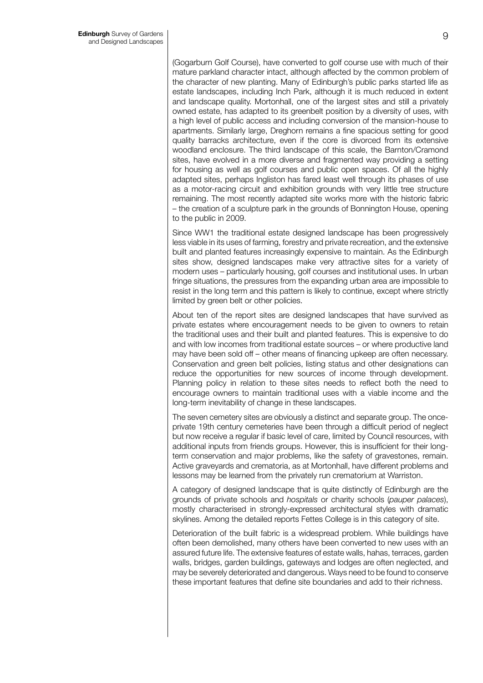(Gogarburn Golf Course), have converted to golf course use with much of their mature parkland character intact, although affected by the common problem of the character of new planting. Many of Edinburgh's public parks started life as estate landscapes, including Inch Park, although it is much reduced in extent and landscape quality. Mortonhall, one of the largest sites and still a privately owned estate, has adapted to its greenbelt position by a diversity of uses, with a high level of public access and including conversion of the mansion-house to apartments. Similarly large, Dreghorn remains a fine spacious setting for good quality barracks architecture, even if the core is divorced from its extensive woodland enclosure. The third landscape of this scale, the Barnton/Cramond sites, have evolved in a more diverse and fragmented way providing a setting for housing as well as golf courses and public open spaces. Of all the highly adapted sites, perhaps Ingliston has fared least well through its phases of use as a motor-racing circuit and exhibition grounds with very little tree structure remaining. The most recently adapted site works more with the historic fabric – the creation of a sculpture park in the grounds of Bonnington House, opening to the public in 2009.

Since WW1 the traditional estate designed landscape has been progressively less viable in its uses of farming, forestry and private recreation, and the extensive built and planted features increasingly expensive to maintain. As the Edinburgh sites show, designed landscapes make very attractive sites for a variety of modern uses – particularly housing, golf courses and institutional uses. In urban fringe situations, the pressures from the expanding urban area are impossible to resist in the long term and this pattern is likely to continue, except where strictly limited by green belt or other policies.

About ten of the report sites are designed landscapes that have survived as private estates where encouragement needs to be given to owners to retain the traditional uses and their built and planted features. This is expensive to do and with low incomes from traditional estate sources – or where productive land may have been sold off – other means of financing upkeep are often necessary. Conservation and green belt policies, listing status and other designations can reduce the opportunities for new sources of income through development. Planning policy in relation to these sites needs to reflect both the need to encourage owners to maintain traditional uses with a viable income and the long-term inevitability of change in these landscapes.

The seven cemetery sites are obviously a distinct and separate group. The onceprivate 19th century cemeteries have been through a difficult period of neglect but now receive a regular if basic level of care, limited by Council resources, with additional inputs from friends groups. However, this is insufficient for their longterm conservation and major problems, like the safety of gravestones, remain. Active graveyards and crematoria, as at Mortonhall, have different problems and lessons may be learned from the privately run crematorium at Warriston.

A category of designed landscape that is quite distinctly of Edinburgh are the grounds of private schools and *hospitals* or charity schools (*pauper palaces*), mostly characterised in strongly-expressed architectural styles with dramatic skylines. Among the detailed reports Fettes College is in this category of site.

Deterioration of the built fabric is a widespread problem. While buildings have often been demolished, many others have been converted to new uses with an assured future life. The extensive features of estate walls, hahas, terraces, garden walls, bridges, garden buildings, gateways and lodges are often neglected, and may be severely deteriorated and dangerous. Ways need to be found to conserve these important features that define site boundaries and add to their richness.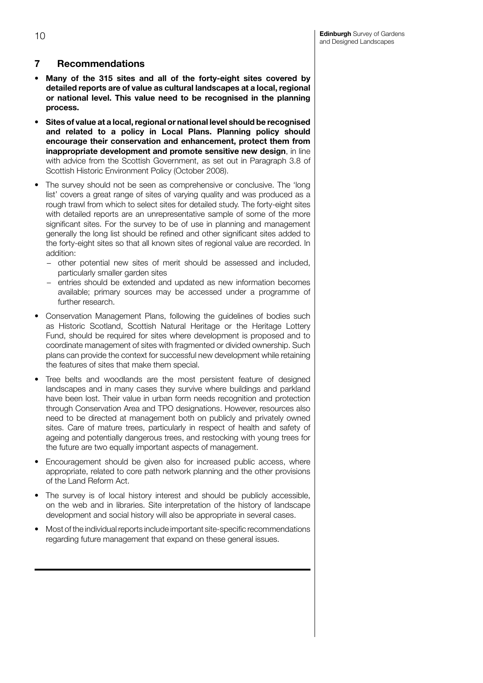### <span id="page-9-0"></span>**7 Recommendations**

- **Many of the 315 sites and all of the forty-eight sites covered by detailed reports are of value as cultural landscapes at a local, regional or national level. This value need to be recognised in the planning process.**
- **Sites of value at a local, regional or national level should be recognised and related to a policy in Local Plans. Planning policy should encourage their conservation and enhancement, protect them from inappropriate development and promote sensitive new design**, in line with advice from the Scottish Government, as set out in Paragraph 3.8 of Scottish Historic Environment Policy (October 2008).
- The survey should not be seen as comprehensive or conclusive. The 'long list' covers a great range of sites of varying quality and was produced as a rough trawl from which to select sites for detailed study. The forty-eight sites with detailed reports are an unrepresentative sample of some of the more significant sites. For the survey to be of use in planning and management generally the long list should be refined and other significant sites added to the forty-eight sites so that all known sites of regional value are recorded. In addition:
	- − other potential new sites of merit should be assessed and included, particularly smaller garden sites
	- entries should be extended and updated as new information becomes available; primary sources may be accessed under a programme of further research.
- Conservation Management Plans, following the guidelines of bodies such as Historic Scotland, Scottish Natural Heritage or the Heritage Lottery Fund, should be required for sites where development is proposed and to coordinate management of sites with fragmented or divided ownership. Such plans can provide the context for successful new development while retaining the features of sites that make them special.
- Tree belts and woodlands are the most persistent feature of designed landscapes and in many cases they survive where buildings and parkland have been lost. Their value in urban form needs recognition and protection through Conservation Area and TPO designations. However, resources also need to be directed at management both on publicly and privately owned sites. Care of mature trees, particularly in respect of health and safety of ageing and potentially dangerous trees, and restocking with young trees for the future are two equally important aspects of management.
- Encouragement should be given also for increased public access, where appropriate, related to core path network planning and the other provisions of the Land Reform Act.
- The survey is of local history interest and should be publicly accessible, on the web and in libraries. Site interpretation of the history of landscape development and social history will also be appropriate in several cases.
- Most of the individual reports include important site-specific recommendations regarding future management that expand on these general issues.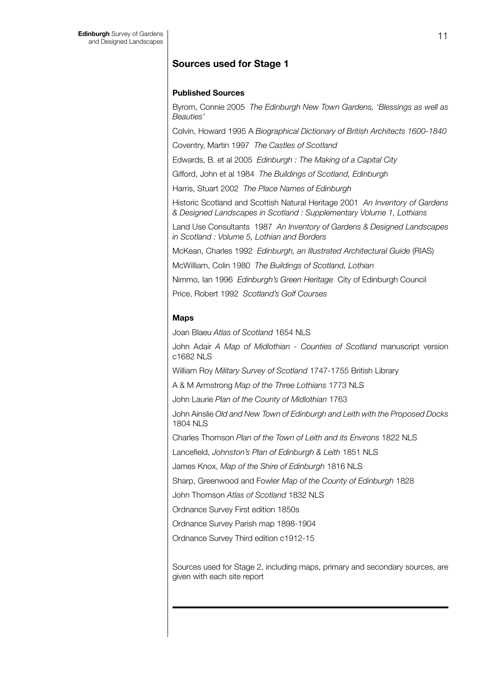#### <span id="page-10-0"></span>**Sources used for Stage 1**

#### **Published Sources**

Byrom, Connie 2005 *The Edinburgh New Town Gardens, 'Blessings as well as Beauties'*

Colvin, Howard 1995 A *Biographical Dictionary of British Architects 1600-1840*

Coventry, Martin 1997 *The Castles of Scotland*

Edwards, B. et al 2005 *Edinburgh : The Making of a Capital City*

Gifford, John et al 1984 *The Buildings of Scotland, Edinburgh*

Harris, Stuart 2002 *The Place Names of Edinburgh*

Historic Scotland and Scottish Natural Heritage 2001 *An Inventory of Gardens & Designed Landscapes in Scotland : Supplementary Volume 1, Lothians*

Land Use Consultants 1987 *An Inventory of Gardens & Designed Landscapes in Scotland : Volume 5, Lothian and Borders*

McKean, Charles 1992 *Edinburgh, an Illustrated Architectural Guide* (RIAS)

McWilliam, Colin 1980 *The Buildings of Scotland, Lothian*

Nimmo, Ian 1996 *Edinburgh's Green Heritage* City of Edinburgh Council

Price, Robert 1992 *Scotland's Golf Courses* 

#### **Maps**

Joan Blaeu *Atlas of Scotland* 1654 NLS

John Adair *A Map of Midlothian - Counties of Scotland* manuscript version c1682 NLS

William Roy *Military Survey of Scotland* 1747-1755 British Library

A & M Armstrong *Map of the Three Lothians* 1773 NLS

John Laurie *Plan of the County of Midlothian* 1763

John Ainslie *Old and New Town of Edinburgh and Leith with the Proposed Docks* 1804 NLS

Charles Thomson *Plan of the Town of Leith and its Environs* 1822 NLS

Lancefield, *Johnston's Plan of Edinburgh & Leith* 1851 NLS

James Knox, *Map of the Shire of Edinburgh* 1816 NLS

Sharp, Greenwood and Fowler *Map of the County of Edinburgh* 1828

John Thomson *Atlas of Scotland* 1832 NLS

Ordnance Survey First edition 1850s

Ordnance Survey Parish map 1898-1904

Ordnance Survey Third edition c1912-15

Sources used for Stage 2, including maps, primary and secondary sources, are given with each site report